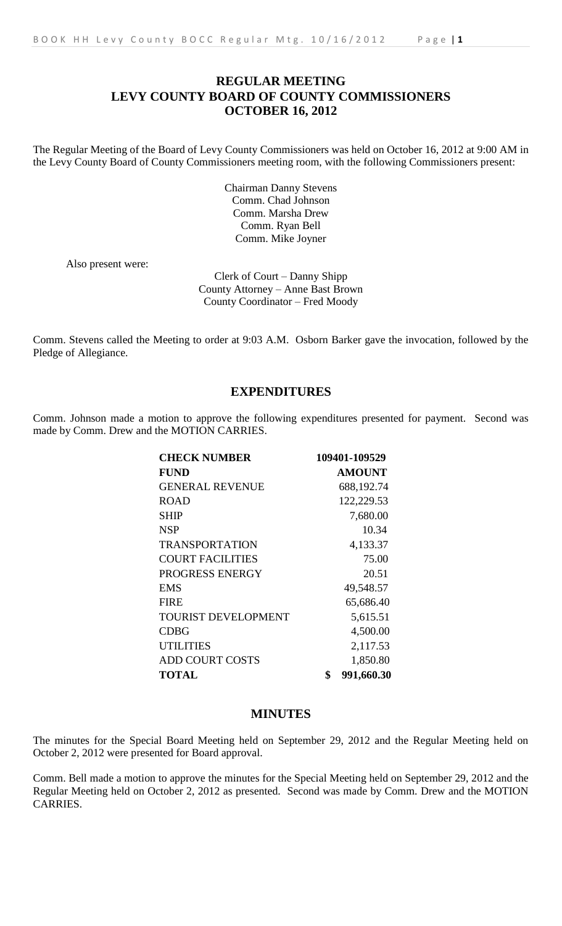# **REGULAR MEETING LEVY COUNTY BOARD OF COUNTY COMMISSIONERS OCTOBER 16, 2012**

The Regular Meeting of the Board of Levy County Commissioners was held on October 16, 2012 at 9:00 AM in the Levy County Board of County Commissioners meeting room, with the following Commissioners present:

> Chairman Danny Stevens Comm. Chad Johnson Comm. Marsha Drew Comm. Ryan Bell Comm. Mike Joyner

Also present were:

Clerk of Court – Danny Shipp County Attorney – Anne Bast Brown County Coordinator – Fred Moody

Comm. Stevens called the Meeting to order at 9:03 A.M. Osborn Barker gave the invocation, followed by the Pledge of Allegiance.

# **EXPENDITURES**

Comm. Johnson made a motion to approve the following expenditures presented for payment. Second was made by Comm. Drew and the MOTION CARRIES.

| <b>CHECK NUMBER</b>        | 109401-109529    |
|----------------------------|------------------|
| <b>FUND</b>                | <b>AMOUNT</b>    |
| <b>GENERAL REVENUE</b>     | 688,192.74       |
| <b>ROAD</b>                | 122,229.53       |
| SHIP                       | 7,680.00         |
| <b>NSP</b>                 | 10.34            |
| <b>TRANSPORTATION</b>      | 4,133.37         |
| <b>COURT FACILITIES</b>    | 75.00            |
| PROGRESS ENERGY            | 20.51            |
| <b>EMS</b>                 | 49,548.57        |
| <b>FIRE</b>                | 65,686.40        |
| <b>TOURIST DEVELOPMENT</b> | 5,615.51         |
| <b>CDBG</b>                | 4,500.00         |
| <b>UTILITIES</b>           | 2,117.53         |
| <b>ADD COURT COSTS</b>     | 1,850.80         |
| <b>TOTAL</b>               | \$<br>991,660.30 |

# **MINUTES**

The minutes for the Special Board Meeting held on September 29, 2012 and the Regular Meeting held on October 2, 2012 were presented for Board approval.

Comm. Bell made a motion to approve the minutes for the Special Meeting held on September 29, 2012 and the Regular Meeting held on October 2, 2012 as presented. Second was made by Comm. Drew and the MOTION CARRIES.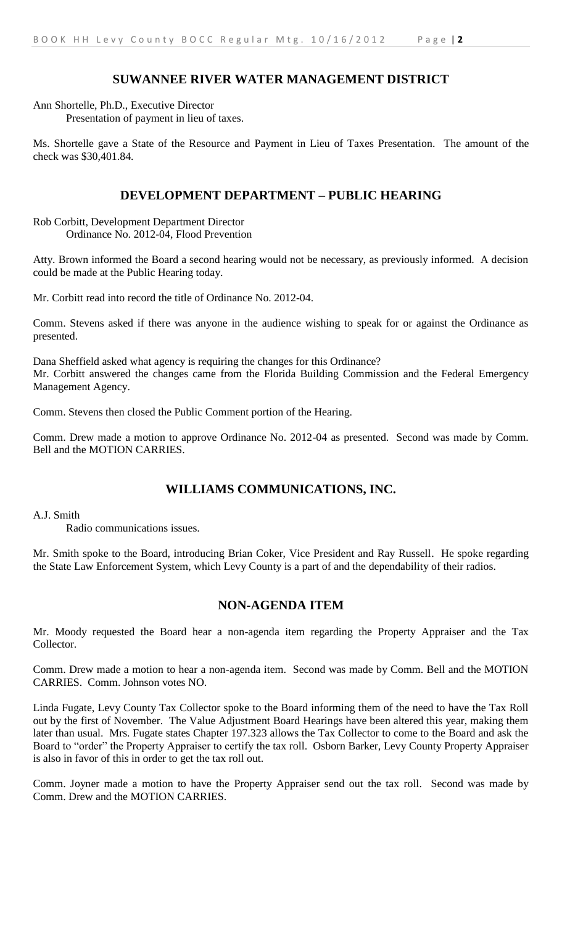# **SUWANNEE RIVER WATER MANAGEMENT DISTRICT**

Ann Shortelle, Ph.D., Executive Director Presentation of payment in lieu of taxes.

Ms. Shortelle gave a State of the Resource and Payment in Lieu of Taxes Presentation. The amount of the check was \$30,401.84.

# **DEVELOPMENT DEPARTMENT – PUBLIC HEARING**

Rob Corbitt, Development Department Director Ordinance No. 2012-04, Flood Prevention

Atty. Brown informed the Board a second hearing would not be necessary, as previously informed. A decision could be made at the Public Hearing today.

Mr. Corbitt read into record the title of Ordinance No. 2012-04.

Comm. Stevens asked if there was anyone in the audience wishing to speak for or against the Ordinance as presented.

Dana Sheffield asked what agency is requiring the changes for this Ordinance? Mr. Corbitt answered the changes came from the Florida Building Commission and the Federal Emergency Management Agency.

Comm. Stevens then closed the Public Comment portion of the Hearing.

Comm. Drew made a motion to approve Ordinance No. 2012-04 as presented. Second was made by Comm. Bell and the MOTION CARRIES.

# **WILLIAMS COMMUNICATIONS, INC.**

### A.J. Smith

Radio communications issues.

Mr. Smith spoke to the Board, introducing Brian Coker, Vice President and Ray Russell. He spoke regarding the State Law Enforcement System, which Levy County is a part of and the dependability of their radios.

# **NON-AGENDA ITEM**

Mr. Moody requested the Board hear a non-agenda item regarding the Property Appraiser and the Tax Collector.

Comm. Drew made a motion to hear a non-agenda item. Second was made by Comm. Bell and the MOTION CARRIES. Comm. Johnson votes NO.

Linda Fugate, Levy County Tax Collector spoke to the Board informing them of the need to have the Tax Roll out by the first of November. The Value Adjustment Board Hearings have been altered this year, making them later than usual. Mrs. Fugate states Chapter 197.323 allows the Tax Collector to come to the Board and ask the Board to "order" the Property Appraiser to certify the tax roll. Osborn Barker, Levy County Property Appraiser is also in favor of this in order to get the tax roll out.

Comm. Joyner made a motion to have the Property Appraiser send out the tax roll. Second was made by Comm. Drew and the MOTION CARRIES.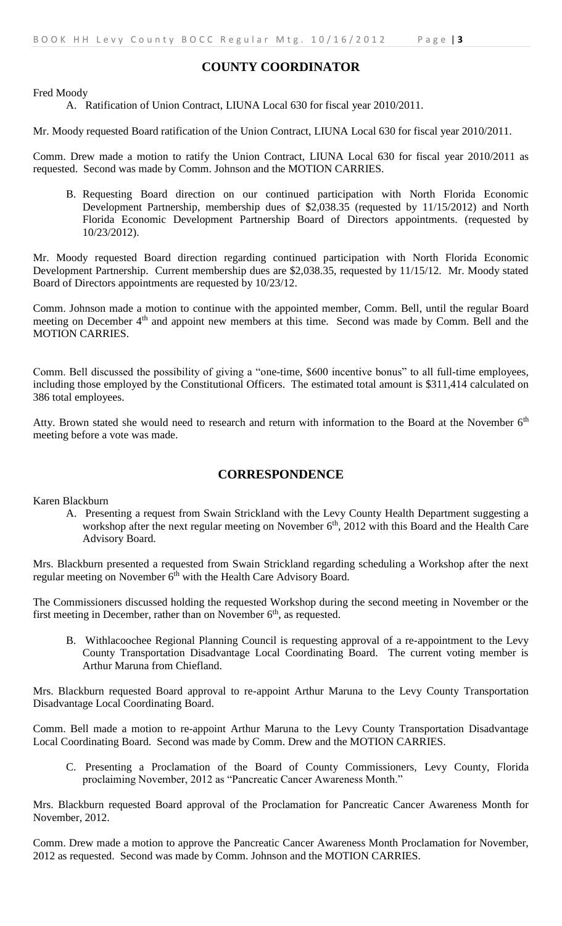# **COUNTY COORDINATOR**

Fred Moody

#### A. Ratification of Union Contract, LIUNA Local 630 for fiscal year 2010/2011.

Mr. Moody requested Board ratification of the Union Contract, LIUNA Local 630 for fiscal year 2010/2011.

Comm. Drew made a motion to ratify the Union Contract, LIUNA Local 630 for fiscal year 2010/2011 as requested. Second was made by Comm. Johnson and the MOTION CARRIES.

B. Requesting Board direction on our continued participation with North Florida Economic Development Partnership, membership dues of \$2,038.35 (requested by 11/15/2012) and North Florida Economic Development Partnership Board of Directors appointments. (requested by 10/23/2012).

Mr. Moody requested Board direction regarding continued participation with North Florida Economic Development Partnership. Current membership dues are \$2,038.35, requested by 11/15/12. Mr. Moody stated Board of Directors appointments are requested by 10/23/12.

Comm. Johnson made a motion to continue with the appointed member, Comm. Bell, until the regular Board meeting on December 4<sup>th</sup> and appoint new members at this time. Second was made by Comm. Bell and the MOTION CARRIES.

Comm. Bell discussed the possibility of giving a "one-time, \$600 incentive bonus" to all full-time employees, including those employed by the Constitutional Officers. The estimated total amount is \$311,414 calculated on 386 total employees.

Atty. Brown stated she would need to research and return with information to the Board at the November  $6<sup>th</sup>$ meeting before a vote was made.

### **CORRESPONDENCE**

Karen Blackburn

A. Presenting a request from Swain Strickland with the Levy County Health Department suggesting a workshop after the next regular meeting on November  $6<sup>th</sup>$ , 2012 with this Board and the Health Care Advisory Board.

Mrs. Blackburn presented a requested from Swain Strickland regarding scheduling a Workshop after the next regular meeting on November  $6<sup>th</sup>$  with the Health Care Advisory Board.

The Commissioners discussed holding the requested Workshop during the second meeting in November or the first meeting in December, rather than on November  $6<sup>th</sup>$ , as requested.

B. Withlacoochee Regional Planning Council is requesting approval of a re-appointment to the Levy County Transportation Disadvantage Local Coordinating Board. The current voting member is Arthur Maruna from Chiefland.

Mrs. Blackburn requested Board approval to re-appoint Arthur Maruna to the Levy County Transportation Disadvantage Local Coordinating Board.

Comm. Bell made a motion to re-appoint Arthur Maruna to the Levy County Transportation Disadvantage Local Coordinating Board. Second was made by Comm. Drew and the MOTION CARRIES.

C. Presenting a Proclamation of the Board of County Commissioners, Levy County, Florida proclaiming November, 2012 as "Pancreatic Cancer Awareness Month."

Mrs. Blackburn requested Board approval of the Proclamation for Pancreatic Cancer Awareness Month for November, 2012.

Comm. Drew made a motion to approve the Pancreatic Cancer Awareness Month Proclamation for November, 2012 as requested. Second was made by Comm. Johnson and the MOTION CARRIES.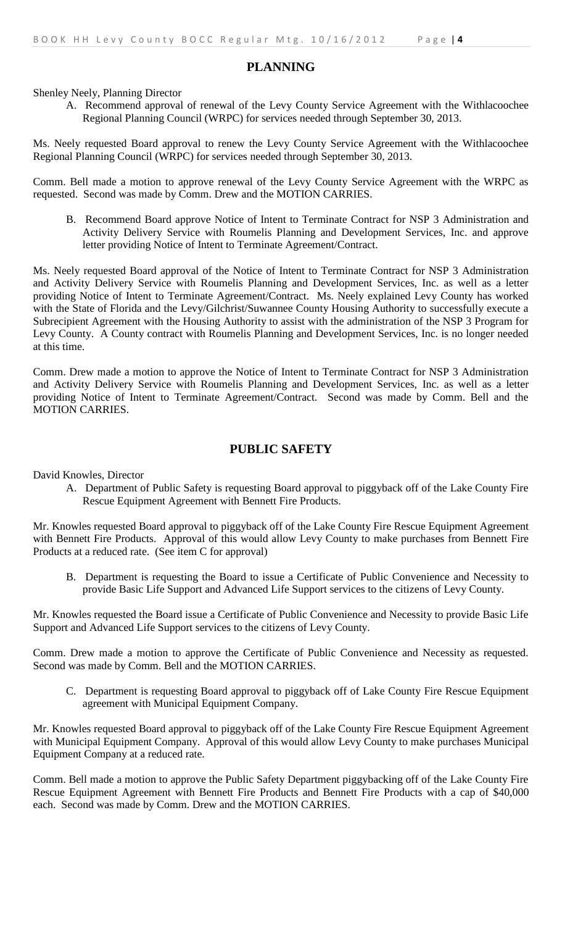### **PLANNING**

Shenley Neely, Planning Director

A. Recommend approval of renewal of the Levy County Service Agreement with the Withlacoochee Regional Planning Council (WRPC) for services needed through September 30, 2013.

Ms. Neely requested Board approval to renew the Levy County Service Agreement with the Withlacoochee Regional Planning Council (WRPC) for services needed through September 30, 2013.

Comm. Bell made a motion to approve renewal of the Levy County Service Agreement with the WRPC as requested. Second was made by Comm. Drew and the MOTION CARRIES.

B. Recommend Board approve Notice of Intent to Terminate Contract for NSP 3 Administration and Activity Delivery Service with Roumelis Planning and Development Services, Inc. and approve letter providing Notice of Intent to Terminate Agreement/Contract.

Ms. Neely requested Board approval of the Notice of Intent to Terminate Contract for NSP 3 Administration and Activity Delivery Service with Roumelis Planning and Development Services, Inc. as well as a letter providing Notice of Intent to Terminate Agreement/Contract. Ms. Neely explained Levy County has worked with the State of Florida and the Levy/Gilchrist/Suwannee County Housing Authority to successfully execute a Subrecipient Agreement with the Housing Authority to assist with the administration of the NSP 3 Program for Levy County. A County contract with Roumelis Planning and Development Services, Inc. is no longer needed at this time.

Comm. Drew made a motion to approve the Notice of Intent to Terminate Contract for NSP 3 Administration and Activity Delivery Service with Roumelis Planning and Development Services, Inc. as well as a letter providing Notice of Intent to Terminate Agreement/Contract. Second was made by Comm. Bell and the MOTION CARRIES.

### **PUBLIC SAFETY**

David Knowles, Director

A. Department of Public Safety is requesting Board approval to piggyback off of the Lake County Fire Rescue Equipment Agreement with Bennett Fire Products.

Mr. Knowles requested Board approval to piggyback off of the Lake County Fire Rescue Equipment Agreement with Bennett Fire Products. Approval of this would allow Levy County to make purchases from Bennett Fire Products at a reduced rate. (See item C for approval)

B. Department is requesting the Board to issue a Certificate of Public Convenience and Necessity to provide Basic Life Support and Advanced Life Support services to the citizens of Levy County.

Mr. Knowles requested the Board issue a Certificate of Public Convenience and Necessity to provide Basic Life Support and Advanced Life Support services to the citizens of Levy County.

Comm. Drew made a motion to approve the Certificate of Public Convenience and Necessity as requested. Second was made by Comm. Bell and the MOTION CARRIES.

C. Department is requesting Board approval to piggyback off of Lake County Fire Rescue Equipment agreement with Municipal Equipment Company.

Mr. Knowles requested Board approval to piggyback off of the Lake County Fire Rescue Equipment Agreement with Municipal Equipment Company. Approval of this would allow Levy County to make purchases Municipal Equipment Company at a reduced rate.

Comm. Bell made a motion to approve the Public Safety Department piggybacking off of the Lake County Fire Rescue Equipment Agreement with Bennett Fire Products and Bennett Fire Products with a cap of \$40,000 each. Second was made by Comm. Drew and the MOTION CARRIES.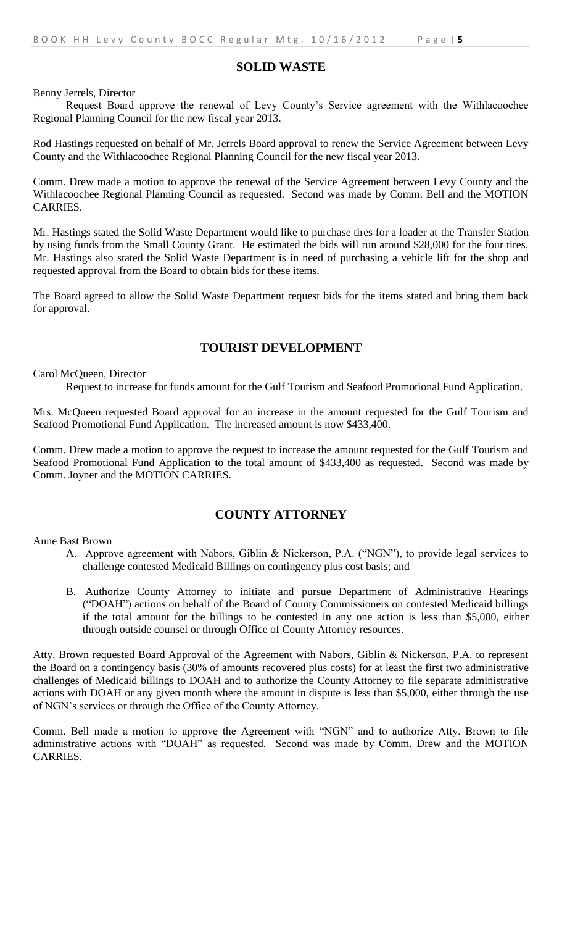### **SOLID WASTE**

Benny Jerrels, Director

Request Board approve the renewal of Levy County's Service agreement with the Withlacoochee Regional Planning Council for the new fiscal year 2013.

Rod Hastings requested on behalf of Mr. Jerrels Board approval to renew the Service Agreement between Levy County and the Withlacoochee Regional Planning Council for the new fiscal year 2013.

Comm. Drew made a motion to approve the renewal of the Service Agreement between Levy County and the Withlacoochee Regional Planning Council as requested. Second was made by Comm. Bell and the MOTION CARRIES.

Mr. Hastings stated the Solid Waste Department would like to purchase tires for a loader at the Transfer Station by using funds from the Small County Grant. He estimated the bids will run around \$28,000 for the four tires. Mr. Hastings also stated the Solid Waste Department is in need of purchasing a vehicle lift for the shop and requested approval from the Board to obtain bids for these items.

The Board agreed to allow the Solid Waste Department request bids for the items stated and bring them back for approval.

# **TOURIST DEVELOPMENT**

Carol McQueen, Director

Request to increase for funds amount for the Gulf Tourism and Seafood Promotional Fund Application.

Mrs. McQueen requested Board approval for an increase in the amount requested for the Gulf Tourism and Seafood Promotional Fund Application. The increased amount is now \$433,400.

Comm. Drew made a motion to approve the request to increase the amount requested for the Gulf Tourism and Seafood Promotional Fund Application to the total amount of \$433,400 as requested. Second was made by Comm. Joyner and the MOTION CARRIES.

### **COUNTY ATTORNEY**

Anne Bast Brown

- A. Approve agreement with Nabors, Giblin & Nickerson, P.A. ("NGN"), to provide legal services to challenge contested Medicaid Billings on contingency plus cost basis; and
- B. Authorize County Attorney to initiate and pursue Department of Administrative Hearings ("DOAH") actions on behalf of the Board of County Commissioners on contested Medicaid billings if the total amount for the billings to be contested in any one action is less than \$5,000, either through outside counsel or through Office of County Attorney resources.

Atty. Brown requested Board Approval of the Agreement with Nabors, Giblin & Nickerson, P.A. to represent the Board on a contingency basis (30% of amounts recovered plus costs) for at least the first two administrative challenges of Medicaid billings to DOAH and to authorize the County Attorney to file separate administrative actions with DOAH or any given month where the amount in dispute is less than \$5,000, either through the use of NGN's services or through the Office of the County Attorney.

Comm. Bell made a motion to approve the Agreement with "NGN" and to authorize Atty. Brown to file administrative actions with "DOAH" as requested. Second was made by Comm. Drew and the MOTION CARRIES.